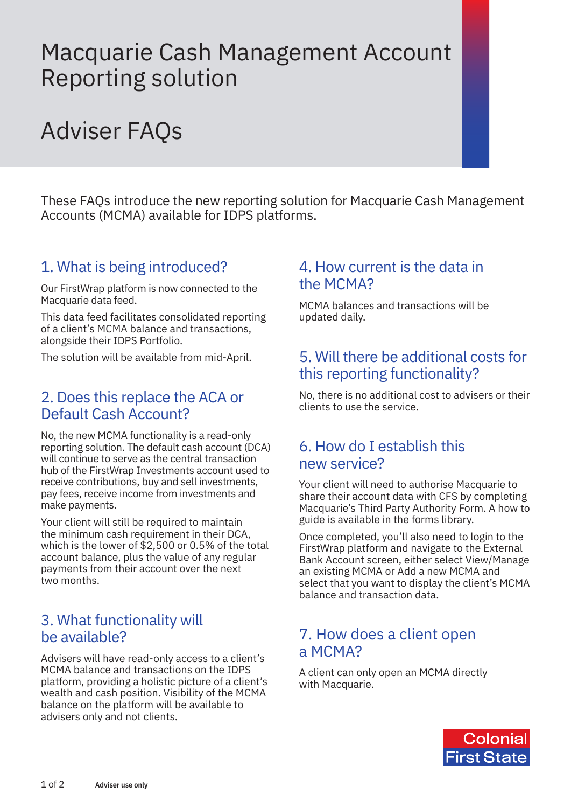## Macquarie Cash Management Account Reporting solution

# Adviser FAQs

These FAQs introduce the new reporting solution for Macquarie Cash Management Accounts (MCMA) available for IDPS platforms.

## 1. What is being introduced?

Our FirstWrap platform is now connected to the Macquarie data feed.

This data feed facilitates consolidated reporting of a client's MCMA balance and transactions, alongside their IDPS Portfolio.

The solution will be available from mid-April.

### 2. Does this replace the ACA or Default Cash Account?

No, the new MCMA functionality is a read-only reporting solution. The default cash account (DCA) will continue to serve as the central transaction hub of the FirstWrap Investments account used to receive contributions, buy and sell investments, pay fees, receive income from investments and make payments.

Your client will still be required to maintain the minimum cash requirement in their DCA, which is the lower of \$2,500 or 0.5% of the total account balance, plus the value of any regular payments from their account over the next two months.

## 3. What functionality will be available?

Advisers will have read-only access to a client's MCMA balance and transactions on the IDPS platform, providing a holistic picture of a client's wealth and cash position. Visibility of the MCMA balance on the platform will be available to advisers only and not clients.

#### 4. How current is the data in the MCMA?

MCMA balances and transactions will be updated daily.

## 5. Will there be additional costs for this reporting functionality?

No, there is no additional cost to advisers or their clients to use the service.

## 6. How do I establish this new service?

Your client will need to authorise Macquarie to share their account data with CFS by completing Macquarie's Third Party Authority Form. A how to guide is available in the forms library.

Once completed, you'll also need to login to the FirstWrap platform and navigate to the External Bank Account screen, either select View/Manage an existing MCMA or Add a new MCMA and select that you want to display the client's MCMA balance and transaction data.

## 7. How does a client open a MCMA?

A client can only open an MCMA directly with [Macquarie](https://cashonline.macquarie.com.au/initiate.aspx?product=CMA).